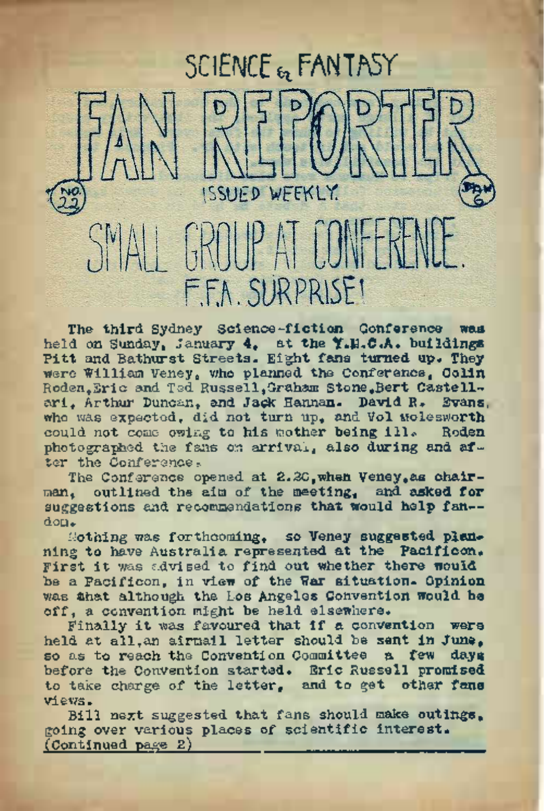

The third. Sydney Science-fiction Conference was held on Sunday, January 4, at the Y.H.C.A. buildings Pitt and Bathurst Streets. Eight fans turned up. They were William Veney, who planned the Conference, Colin Roden,Eric and Ted Russell,Graham Stone,Bert Caste11 ari, Arthur Duncan, and Jack Hannan. David R. Evans, who was expected, did not turn up, and Vol Molesworth could not come owing to his mother being ill. photographed the fans on arrival, also during and after the Conference.

The Conference opened at 2.2G, when Veney, as chairman, outlined the aim of the meeting, and asked for suggestions and recommendations that would help fan-dom,

Nothing was forthcoming, so Veney suggested **plan**ning to have Australia represented at the Pacificon. First it was advised to find out whether there would be a Pacificon, in view of the War situation. Opinion was that although the Los Angeles Convention would be off, a convention might be held elsewhere.

Finally it was favoured that if a convention were held at all, an airmail letter should be sent in June,<br>so as to reach the Convention Committee a few dave so as to reach the Convention Committee a few before the Convention started. Eric Russell promised to take charge of the letter, and to get other fans views. so as to reach the Convention domainted a live of the Convention started. Eric Russell prom<br>before the Convention started. Eric Russell prom<br>to take charge of the letter, and to get other<br>Miews.<br>going over verious places o

Bill next suggested that fans should make outings, going over various places of scientific interest.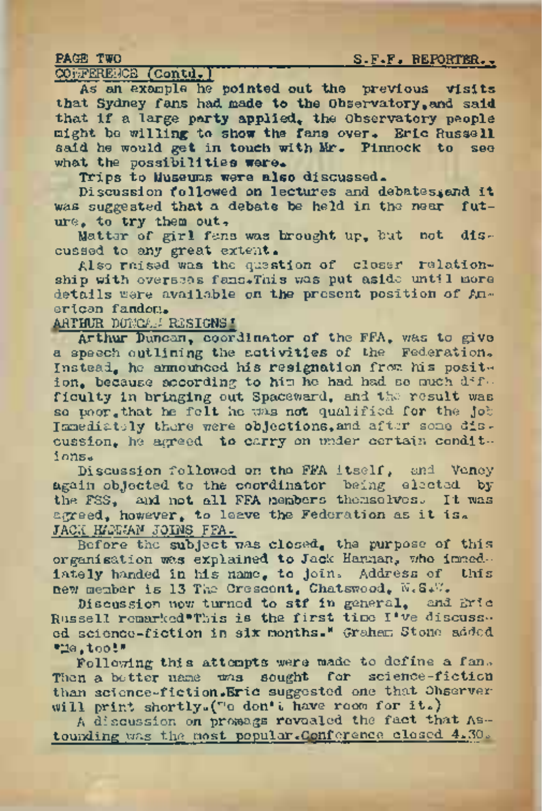## PAGE TWO **S.F.F. REPORTER.**

COIFFERENCE (Contd.)

As an example he pointed out the previous visits that Sydney fans had made to the Observatory,and said that if a large party applied, the Observatory people might be willing to show the fans over. Eric Russell said he would get in touch with Mr. Pinnock to see what the possibilities were.

Trips to Museums were also discussed.

Discussion followed on lectures and debates.end it was suggested that a debate be held in the near future, to try them out,

Matter of girl fans was brought up, but not discussed to any great extent.

Also raised was the question of closer relationship with overseas fans. This was put aside until more details were available on the present position of American fandom.

ARTHUR DUNCAN RESIGNS'

Arthur Duncan, coordinator of the FFA, was to give a speech outlining the activities of the Federation. Instead, he announced his resignation from his position, because according to him he had had so much difficulty in bringing out Spaceward, and the result was so poor, that he felt he was not qualified for the job Immediately there were objections, and after some discussion, he agreed to carry on under certain conditions<sup>6</sup>

Discussion followed on the FFA itself, and Veney again objected to the coordinator being elected by the FSS, and not all FFA members themselves. It was  $degree$ , however, to leave the Federation as it is. JACK HANNAN JOINS FFA.

Before the subject was closed, the purpose of this organisation was explained to Jack Hannan, who immediately handed in his name, to join. Address of this new member is <sup>13</sup> The Crescent, Chatswood, N.S\*V/.

Discussion now turned to stf in general, and Eric Russell remarked"This is the first time I've discussed science-fiction in six months." Graham Stone added "Me,tool"

Following this attempts were made to define a fan. Then a better name was sought for science-fiction than science-fiction.Eric suggested one that Observerwill print shortly. ("o don't have room for it.)

<sup>A</sup> discussion on promags revealed the fact that Astounding was the most popular. Conference closed 4.30.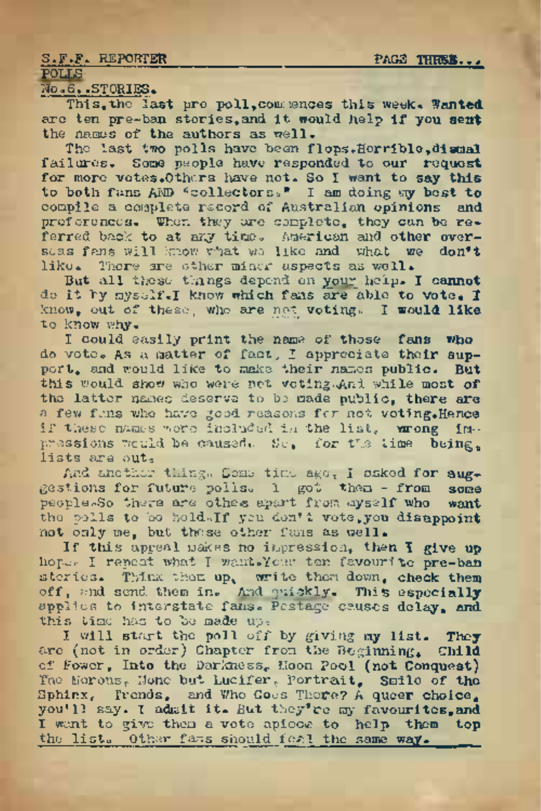### S.F.F. REPORTER PAGE THRES...

# POLLS

No.6..STORIES.

This,the last pro poll,commences this week. **Wanted** are ten pre-ban stories,and. it would, help if you **sent** the names of the authors as well.

The last two polls have been flops.Horrible.dismal failures. Some people have responded to our request for more votes. Others have not. So I want to say this to both fans AND "collectors." I am doing my best to compile a complete record of Australian opinions and preferences. When they are complete, they can be referred back to at any time. American and other overseas fans will know what we like and what we don't like. There are other minor aspects as well.

But all these things depend on your help. I cannot do it by myself. I know which fans are able to vote, I know, out of these, who are not voting. I would like to know why.

I could easily print the name of those fans who do vote. As a matter of fact-, I appreciate their sup-port, and would like to make their names public. But this would show who were not voting.And while most of the latter names deserve to be made public, there are a few fans who have good reasons for not voting. Hence if these names were included in the list, wrong impressions would be caused. So, for the time being, lists are out.

And another thing. Some time ago, I asked for sug-<br>stions for future polls. 1 got them - from some gestions for future polls. 1 got them - from some people. So there are other spart from ayself who want people. So there are othes apart from myself who rhe polls to be held«If you don't vote,you disappoint not only me, but these other fans as well.

If this appeal makes no impression, then I give up hope. I repeat what I want.Your ten favourite pre-ban stories. Think them up, write them down, check them off, and send them in. And quickly. This especially applies to interstate fans. Pestage causes delay, and this time has to be made up,

I will start the poll off by giving my list. They are (not in order) Chapter from the Beginning, Child of Fower, Into the Darkness, Moon Pool (not Conquest) The Morons, None but Lucifer, portrait, Smile of the Sphinx, Trends, and Who Goos There? A queer choice, you'll say. I admit it. But they're my favourites, and I want to give them a vote apiece to help them top the list. Other fans should feel the same way.